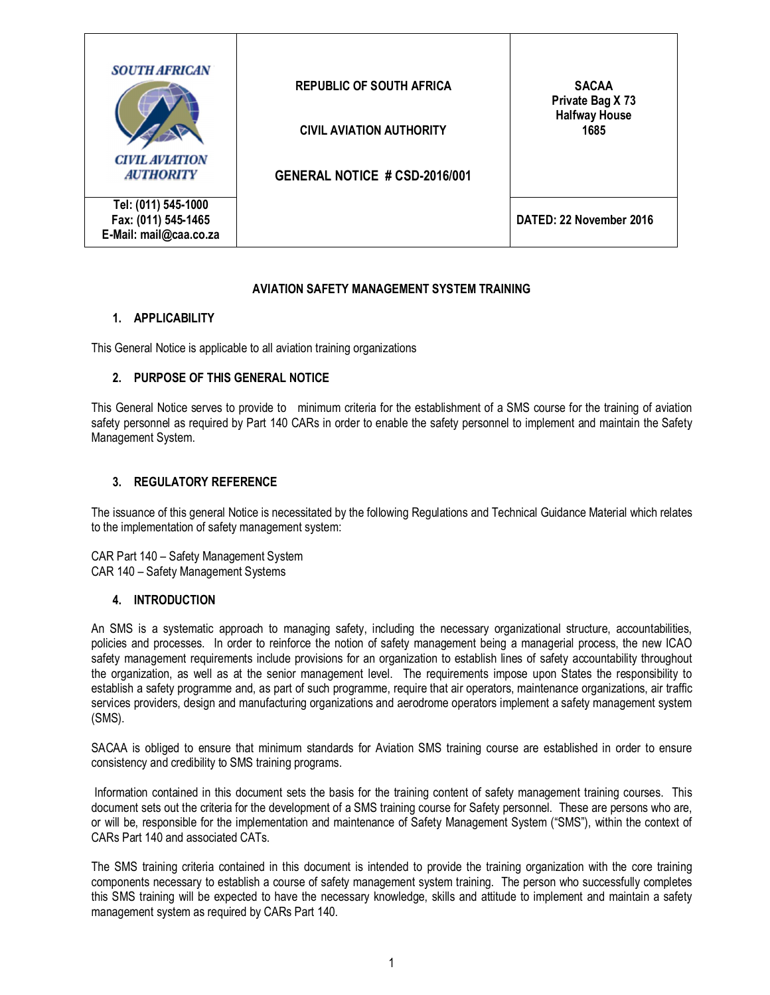| <b>SOUTH AFRICAN</b><br><b>CIVIL AVIATION</b><br><b>AUTHORITY</b>    | <b>REPUBLIC OF SOUTH AFRICA</b><br><b>CIVIL AVIATION AUTHORITY</b><br>GENERAL NOTICE # CSD-2016/001 | <b>SACAA</b><br>Private Bag X 73<br><b>Halfway House</b><br>1685 |
|----------------------------------------------------------------------|-----------------------------------------------------------------------------------------------------|------------------------------------------------------------------|
| Tel: (011) 545-1000<br>Fax: (011) 545-1465<br>E-Mail: mail@caa.co.za |                                                                                                     | DATED: 22 November 2016                                          |

#### **AVIATION SAFETY MANAGEMENT SYSTEM TRAINING**

#### **1. APPLICABILITY**

This General Notice is applicable to all aviation training organizations

#### **2. PURPOSE OF THIS GENERAL NOTICE**

This General Notice serves to provide to minimum criteria for the establishment of a SMS course for the training of aviation safety personnel as required by Part 140 CARs in order to enable the safety personnel to implement and maintain the Safety Management System.

#### **3. REGULATORY REFERENCE**

The issuance of this general Notice is necessitated by the following Regulations and Technical Guidance Material which relates to the implementation of safety management system:

CAR Part 140 – Safety Management System CAR 140 – Safety Management Systems

#### **4. INTRODUCTION**

An SMS is a systematic approach to managing safety, including the necessary organizational structure, accountabilities, policies and processes. In order to reinforce the notion of safety management being a managerial process, the new ICAO safety management requirements include provisions for an organization to establish lines of safety accountability throughout the organization, as well as at the senior management level. The requirements impose upon States the responsibility to establish a safety programme and, as part of such programme, require that air operators, maintenance organizations, air traffic services providers, design and manufacturing organizations and aerodrome operators implement a safety management system (SMS).

SACAA is obliged to ensure that minimum standards for Aviation SMS training course are established in order to ensure consistency and credibility to SMS training programs.

Information contained in this document sets the basis for the training content of safety management training courses. This document sets out the criteria for the development of a SMS training course for Safety personnel. These are persons who are, or will be, responsible for the implementation and maintenance of Safety Management System ("SMS"), within the context of CARs Part 140 and associated CATs.

The SMS training criteria contained in this document is intended to provide the training organization with the core training components necessary to establish a course of safety management system training. The person who successfully completes this SMS training will be expected to have the necessary knowledge, skills and attitude to implement and maintain a safety management system as required by CARs Part 140.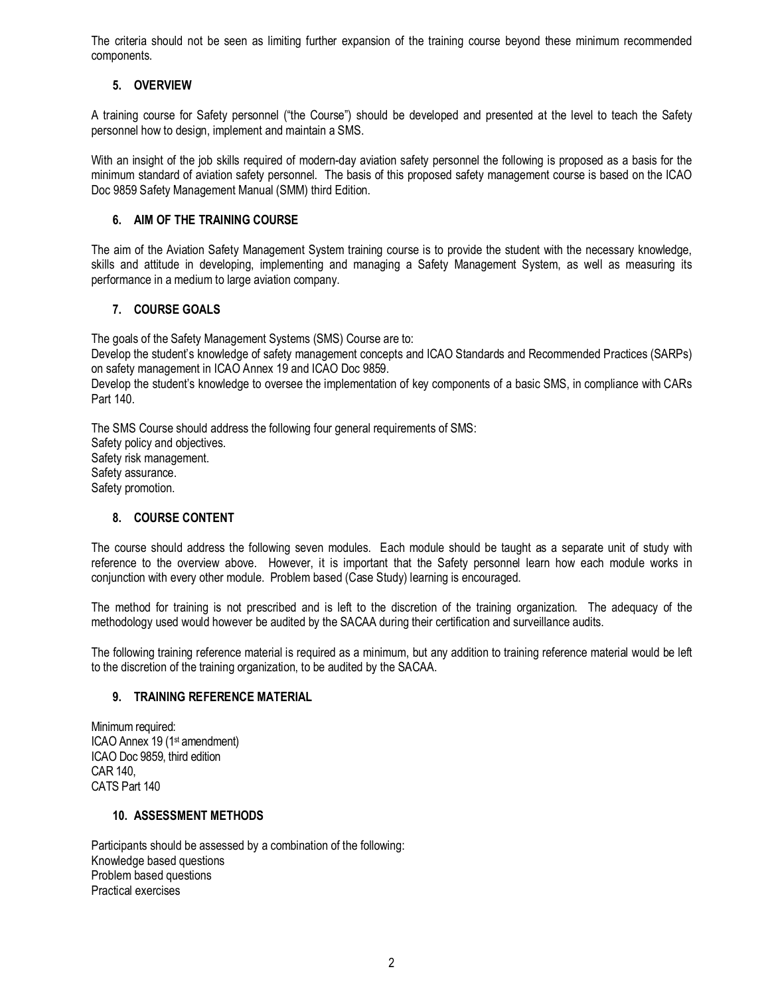The criteria should not be seen as limiting further expansion of the training course beyond these minimum recommended components.

## **5. OVERVIEW**

A training course for Safety personnel ("the Course") should be developed and presented at the level to teach the Safety personnel how to design, implement and maintain a SMS.

With an insight of the job skills required of modern-day aviation safety personnel the following is proposed as a basis for the minimum standard of aviation safety personnel. The basis of this proposed safety management course is based on the ICAO Doc 9859 Safety Management Manual (SMM) third Edition.

### **6. AIM OF THE TRAINING COURSE**

The aim of the Aviation Safety Management System training course is to provide the student with the necessary knowledge, skills and attitude in developing, implementing and managing a Safety Management System, as well as measuring its performance in a medium to large aviation company.

## **7. COURSE GOALS**

The goals of the Safety Management Systems (SMS) Course are to:

Develop the student's knowledge of safety management concepts and ICAO Standards and Recommended Practices (SARPs) on safety management in ICAO Annex 19 and ICAO Doc 9859.

Develop the student's knowledge to oversee the implementation of key components of a basic SMS, in compliance with CARs Part 140.

The SMS Course should address the following four general requirements of SMS: Safety policy and objectives. Safety risk management. Safety assurance. Safety promotion.

## **8. COURSE CONTENT**

The course should address the following seven modules. Each module should be taught as a separate unit of study with reference to the overview above. However, it is important that the Safety personnel learn how each module works in conjunction with every other module. Problem based (Case Study) learning is encouraged.

The method for training is not prescribed and is left to the discretion of the training organization. The adequacy of the methodology used would however be audited by the SACAA during their certification and surveillance audits.

The following training reference material is required as a minimum, but any addition to training reference material would be left to the discretion of the training organization, to be audited by the SACAA.

#### **9. TRAINING REFERENCE MATERIAL**

Minimum required: ICAO Annex 19 (1st amendment) ICAO Doc 9859, third edition CAR 140, CATS Part 140

#### **10. ASSESSMENT METHODS**

Participants should be assessed by a combination of the following: Knowledge based questions Problem based questions Practical exercises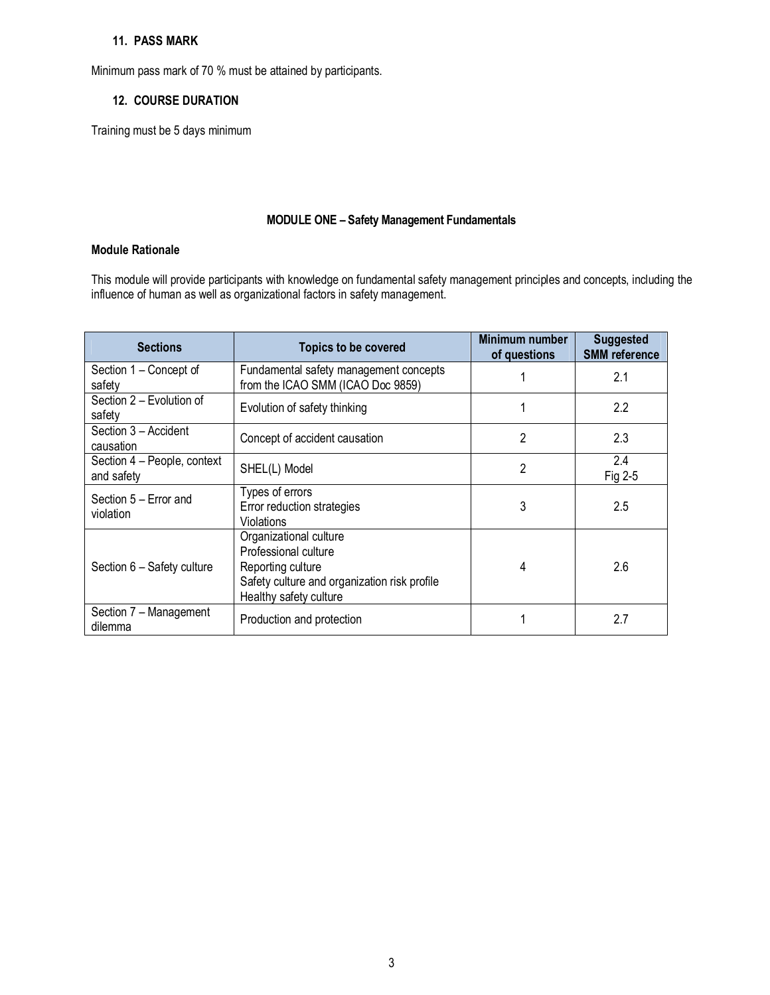### **11. PASS MARK**

Minimum pass mark of 70 % must be attained by participants.

#### **12. COURSE DURATION**

Training must be 5 days minimum

#### **MODULE ONE – Safety Management Fundamentals**

## **Module Rationale**

This module will provide participants with knowledge on fundamental safety management principles and concepts, including the influence of human as well as organizational factors in safety management.

| <b>Sections</b>                           | <b>Topics to be covered</b>                                                                                                                   | <b>Minimum number</b><br>of questions | <b>Suggested</b><br><b>SMM</b> reference |
|-------------------------------------------|-----------------------------------------------------------------------------------------------------------------------------------------------|---------------------------------------|------------------------------------------|
| Section 1 – Concept of<br>safety          | Fundamental safety management concepts<br>from the ICAO SMM (ICAO Doc 9859)                                                                   |                                       | 2.1                                      |
| Section 2 - Evolution of<br>safety        | Evolution of safety thinking                                                                                                                  |                                       | 2.2                                      |
| Section 3 - Accident<br>causation         | Concept of accident causation                                                                                                                 | 2                                     | 2.3                                      |
| Section 4 - People, context<br>and safety | SHEL(L) Model                                                                                                                                 | $\overline{2}$                        | 2.4<br>Fig 2-5                           |
| Section 5 - Error and<br>violation        | Types of errors<br>Error reduction strategies<br>Violations                                                                                   | 3                                     | 2.5                                      |
| Section 6 - Safety culture                | Organizational culture<br>Professional culture<br>Reporting culture<br>Safety culture and organization risk profile<br>Healthy safety culture | 4                                     | 2.6                                      |
| Section 7 - Management<br>dilemma         | Production and protection                                                                                                                     |                                       | 2.7                                      |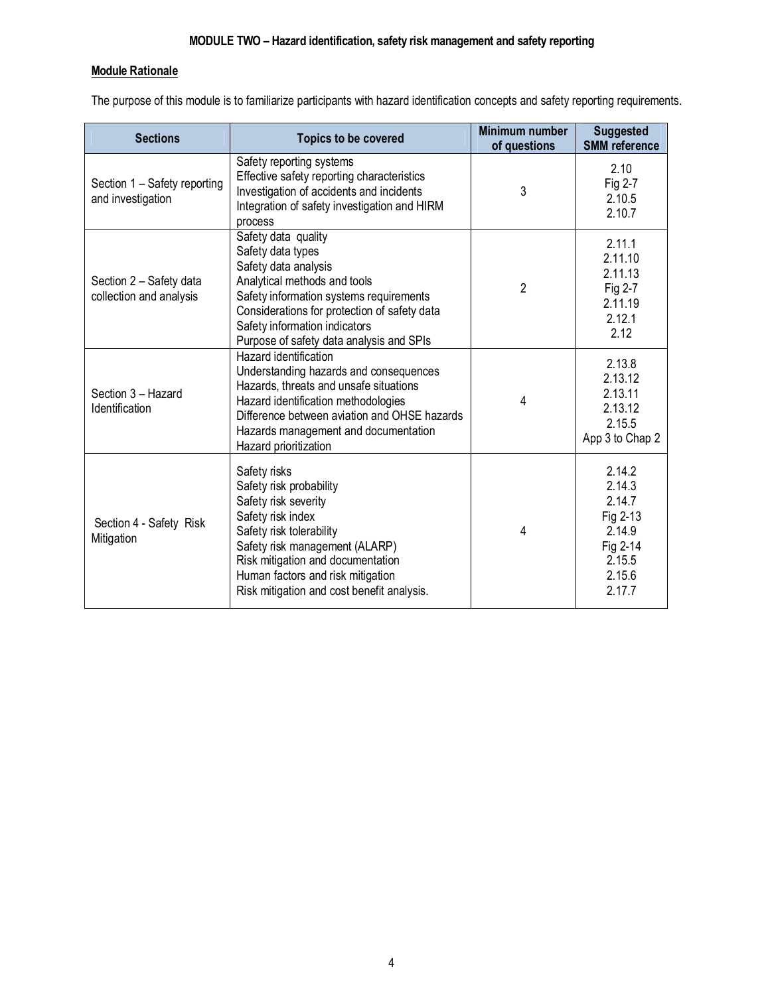## **Module Rationale**

The purpose of this module is to familiarize participants with hazard identification concepts and safety reporting requirements.

| <b>Sections</b>                                    | <b>Topics to be covered</b>                                                                                                                                                                                                                                                | <b>Minimum number</b><br>of questions | <b>Suggested</b><br><b>SMM</b> reference                                                   |
|----------------------------------------------------|----------------------------------------------------------------------------------------------------------------------------------------------------------------------------------------------------------------------------------------------------------------------------|---------------------------------------|--------------------------------------------------------------------------------------------|
| Section 1 - Safety reporting<br>and investigation  | Safety reporting systems<br>Effective safety reporting characteristics<br>Investigation of accidents and incidents<br>Integration of safety investigation and HIRM<br>process                                                                                              | 3                                     | 2.10<br>Fig 2-7<br>2.10.5<br>2.10.7                                                        |
| Section 2 - Safety data<br>collection and analysis | Safety data quality<br>Safety data types<br>Safety data analysis<br>Analytical methods and tools<br>Safety information systems requirements<br>Considerations for protection of safety data<br>Safety information indicators<br>Purpose of safety data analysis and SPIs   | $\overline{2}$                        | 2.11.1<br>2.11.10<br>2.11.13<br>Fig 2-7<br>2.11.19<br>2.12.1<br>2.12                       |
| Section 3 - Hazard<br>Identification               | Hazard identification<br>Understanding hazards and consequences<br>Hazards, threats and unsafe situations<br>Hazard identification methodologies<br>Difference between aviation and OHSE hazards<br>Hazards management and documentation<br>Hazard prioritization          | 4                                     | 2.13.8<br>2.13.12<br>2.13.11<br>2.13.12<br>2.15.5<br>App 3 to Chap 2                       |
| Section 4 - Safety Risk<br>Mitigation              | Safety risks<br>Safety risk probability<br>Safety risk severity<br>Safety risk index<br>Safety risk tolerability<br>Safety risk management (ALARP)<br>Risk mitigation and documentation<br>Human factors and risk mitigation<br>Risk mitigation and cost benefit analysis. | 4                                     | 2.14.2<br>2.14.3<br>2.14.7<br>Fig 2-13<br>2.14.9<br>Fig 2-14<br>2.15.5<br>2.15.6<br>2.17.7 |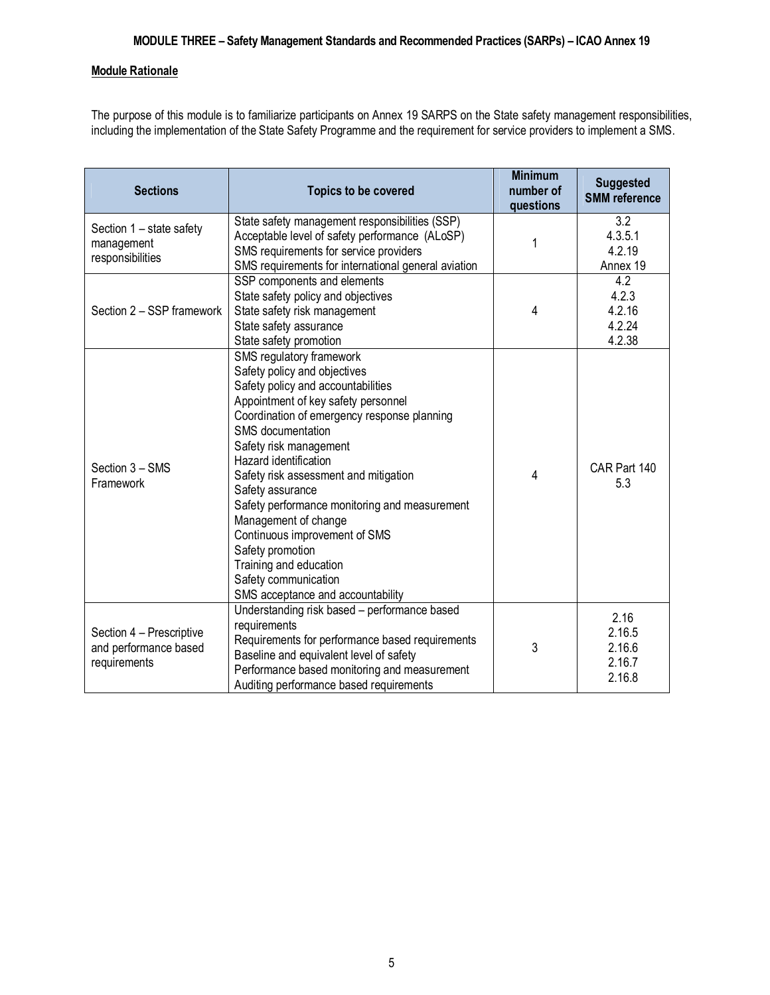## **Module Rationale**

The purpose of this module is to familiarize participants on Annex 19 SARPS on the State safety management responsibilities, including the implementation of the State Safety Programme and the requirement for service providers to implement a SMS.

| <b>Sections</b><br><b>Topics to be covered</b>                    |                                                                                                                                                                                                                                                                                                                                                                                                                                                                                                                                                | <b>Minimum</b><br>number of<br>questions | <b>Suggested</b><br><b>SMM</b> reference     |
|-------------------------------------------------------------------|------------------------------------------------------------------------------------------------------------------------------------------------------------------------------------------------------------------------------------------------------------------------------------------------------------------------------------------------------------------------------------------------------------------------------------------------------------------------------------------------------------------------------------------------|------------------------------------------|----------------------------------------------|
| Section 1 - state safety<br>management<br>responsibilities        | State safety management responsibilities (SSP)<br>Acceptable level of safety performance (ALoSP)<br>SMS requirements for service providers<br>SMS requirements for international general aviation                                                                                                                                                                                                                                                                                                                                              | 1                                        | 3.2<br>4.3.5.1<br>4.2.19<br>Annex 19         |
| Section 2 - SSP framework                                         | SSP components and elements<br>State safety policy and objectives<br>State safety risk management<br>State safety assurance<br>State safety promotion                                                                                                                                                                                                                                                                                                                                                                                          | 4                                        | 4.2<br>4.2.3<br>4.2.16<br>4.2.24<br>4.2.38   |
| Section 3 - SMS<br>Framework                                      | SMS regulatory framework<br>Safety policy and objectives<br>Safety policy and accountabilities<br>Appointment of key safety personnel<br>Coordination of emergency response planning<br>SMS documentation<br>Safety risk management<br>Hazard identification<br>Safety risk assessment and mitigation<br>Safety assurance<br>Safety performance monitoring and measurement<br>Management of change<br>Continuous improvement of SMS<br>Safety promotion<br>Training and education<br>Safety communication<br>SMS acceptance and accountability | 4                                        | CAR Part 140<br>5.3                          |
| Section 4 - Prescriptive<br>and performance based<br>requirements | Understanding risk based - performance based<br>requirements<br>Requirements for performance based requirements<br>Baseline and equivalent level of safety<br>Performance based monitoring and measurement<br>Auditing performance based requirements                                                                                                                                                                                                                                                                                          | 3                                        | 2.16<br>2.16.5<br>2.16.6<br>2.16.7<br>2.16.8 |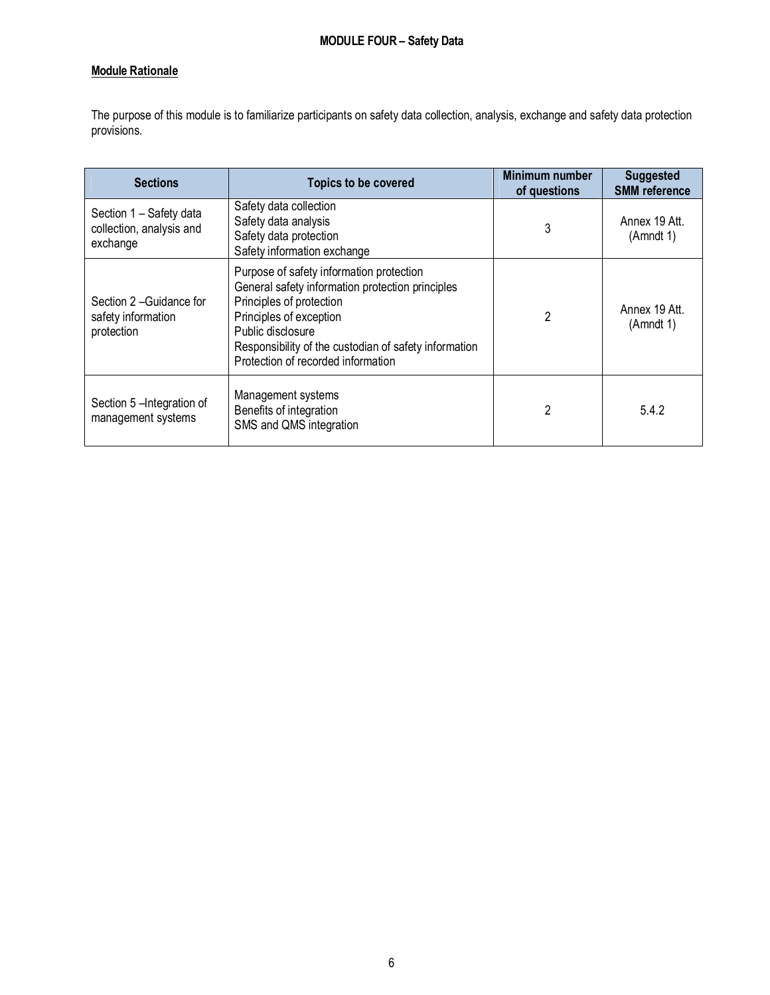# **Module Rationale**

The purpose of this module is to familiarize participants on safety data collection, analysis, exchange and safety data protection provisions.

| <b>Sections</b>                                                 | <b>Topics to be covered</b>                                                                                                                                                                                                                                             | Minimum number<br>of questions | <b>Suggested</b><br><b>SMM</b> reference |
|-----------------------------------------------------------------|-------------------------------------------------------------------------------------------------------------------------------------------------------------------------------------------------------------------------------------------------------------------------|--------------------------------|------------------------------------------|
| Section 1 - Safety data<br>collection, analysis and<br>exchange | Safety data collection<br>Safety data analysis<br>Safety data protection<br>Safety information exchange                                                                                                                                                                 | 3                              | Annex 19 Att.<br>(Amndt 1)               |
| Section 2-Guidance for<br>safety information<br>protection      | Purpose of safety information protection<br>General safety information protection principles<br>Principles of protection<br>Principles of exception<br>Public disclosure<br>Responsibility of the custodian of safety information<br>Protection of recorded information | 2                              | Annex 19 Att.<br>(Amndt 1)               |
| Section 5 - Integration of<br>management systems                | Management systems<br>Benefits of integration<br>SMS and QMS integration                                                                                                                                                                                                | 2                              | 5.4.2                                    |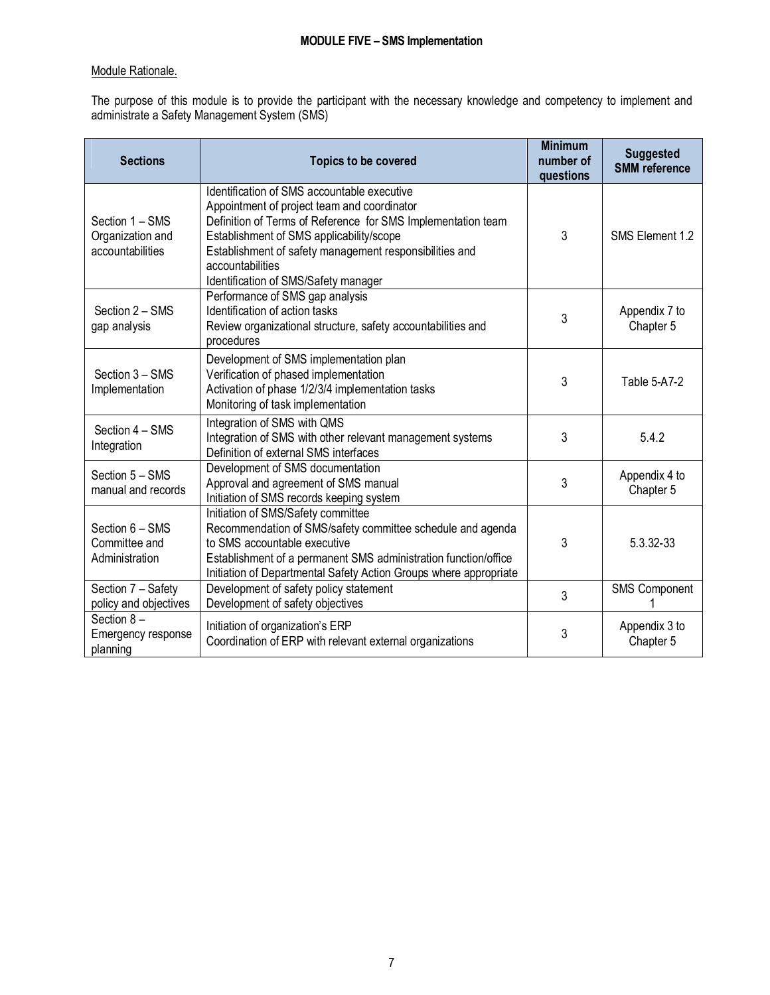## Module Rationale.

The purpose of this module is to provide the participant with the necessary knowledge and competency to implement and administrate a Safety Management System (SMS)

| <b>Sections</b>                                         | <b>Topics to be covered</b>                                                                                                                                                                                                                                                                                                   | <b>Minimum</b><br>number of<br>questions | <b>Suggested</b><br><b>SMM</b> reference |
|---------------------------------------------------------|-------------------------------------------------------------------------------------------------------------------------------------------------------------------------------------------------------------------------------------------------------------------------------------------------------------------------------|------------------------------------------|------------------------------------------|
| Section 1 – SMS<br>Organization and<br>accountabilities | Identification of SMS accountable executive<br>Appointment of project team and coordinator<br>Definition of Terms of Reference for SMS Implementation team<br>Establishment of SMS applicability/scope<br>Establishment of safety management responsibilities and<br>accountabilities<br>Identification of SMS/Safety manager | 3                                        | SMS Element 1.2                          |
| Section 2 - SMS<br>gap analysis                         | Performance of SMS gap analysis<br>Identification of action tasks<br>Review organizational structure, safety accountabilities and<br>procedures                                                                                                                                                                               | 3                                        | Appendix 7 to<br>Chapter 5               |
| Section 3 - SMS<br>Implementation                       | Development of SMS implementation plan<br>Verification of phased implementation<br>Activation of phase 1/2/3/4 implementation tasks<br>Monitoring of task implementation                                                                                                                                                      | 3                                        | Table 5-A7-2                             |
| Section 4 - SMS<br>Integration                          | Integration of SMS with QMS<br>Integration of SMS with other relevant management systems<br>Definition of external SMS interfaces                                                                                                                                                                                             | 3                                        | 5.4.2                                    |
| Section 5 - SMS<br>manual and records                   | Development of SMS documentation<br>Approval and agreement of SMS manual<br>Initiation of SMS records keeping system                                                                                                                                                                                                          | 3                                        | Appendix 4 to<br>Chapter 5               |
| Section 6 - SMS<br>Committee and<br>Administration      | Initiation of SMS/Safety committee<br>Recommendation of SMS/safety committee schedule and agenda<br>to SMS accountable executive<br>Establishment of a permanent SMS administration function/office<br>Initiation of Departmental Safety Action Groups where appropriate                                                      | 3                                        | 5.3.32-33                                |
| Section 7 - Safety<br>policy and objectives             | Development of safety policy statement<br>Development of safety objectives                                                                                                                                                                                                                                                    | 3                                        | <b>SMS Component</b>                     |
| Section $8-$<br>Emergency response<br>planning          | Initiation of organization's ERP<br>Coordination of ERP with relevant external organizations                                                                                                                                                                                                                                  | 3                                        | Appendix 3 to<br>Chapter 5               |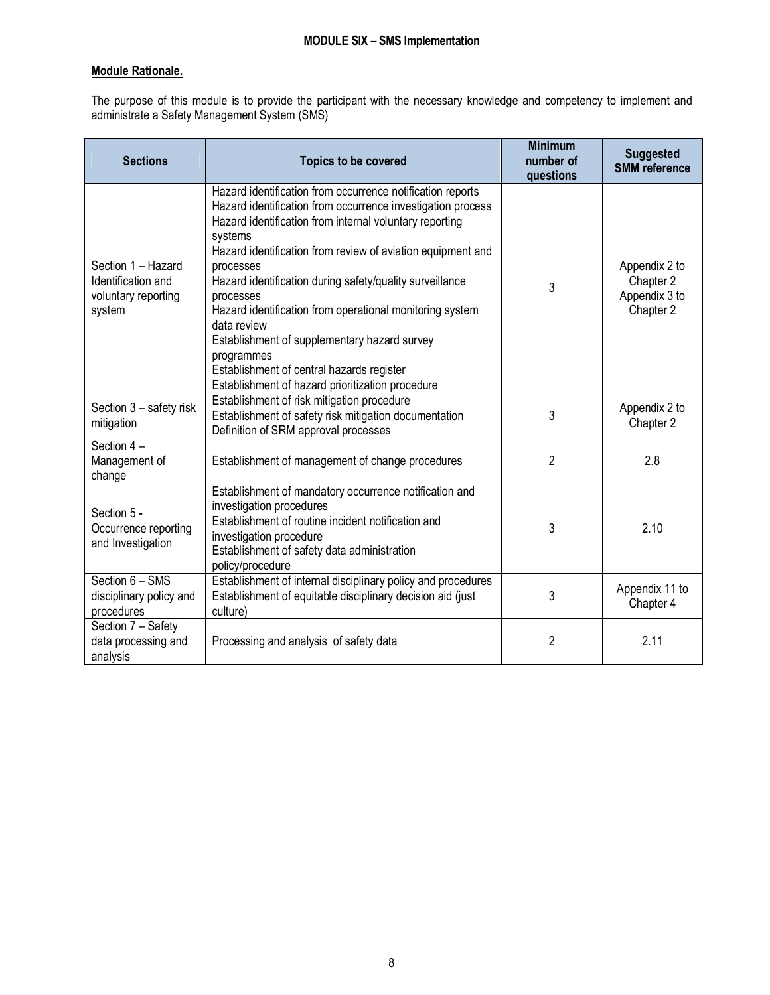# **Module Rationale.**

The purpose of this module is to provide the participant with the necessary knowledge and competency to implement and administrate a Safety Management System (SMS)

| <b>Sections</b>                                                           | Topics to be covered                                                                                                                                                                                                                                                                                                                                                                                                                                                                                                                                                                           | <b>Minimum</b><br>number of<br>questions | <b>Suggested</b><br><b>SMM</b> reference                 |
|---------------------------------------------------------------------------|------------------------------------------------------------------------------------------------------------------------------------------------------------------------------------------------------------------------------------------------------------------------------------------------------------------------------------------------------------------------------------------------------------------------------------------------------------------------------------------------------------------------------------------------------------------------------------------------|------------------------------------------|----------------------------------------------------------|
| Section 1 - Hazard<br>Identification and<br>voluntary reporting<br>system | Hazard identification from occurrence notification reports<br>Hazard identification from occurrence investigation process<br>Hazard identification from internal voluntary reporting<br>systems<br>Hazard identification from review of aviation equipment and<br>processes<br>Hazard identification during safety/quality surveillance<br>processes<br>Hazard identification from operational monitoring system<br>data review<br>Establishment of supplementary hazard survey<br>programmes<br>Establishment of central hazards register<br>Establishment of hazard prioritization procedure | 3                                        | Appendix 2 to<br>Chapter 2<br>Appendix 3 to<br>Chapter 2 |
| Section 3 - safety risk<br>mitigation                                     | Establishment of risk mitigation procedure<br>Establishment of safety risk mitigation documentation<br>Definition of SRM approval processes                                                                                                                                                                                                                                                                                                                                                                                                                                                    | 3                                        | Appendix 2 to<br>Chapter 2                               |
| Section 4-<br>Management of<br>change                                     | Establishment of management of change procedures                                                                                                                                                                                                                                                                                                                                                                                                                                                                                                                                               | $\overline{2}$                           | 2.8                                                      |
| Section 5 -<br>Occurrence reporting<br>and Investigation                  | Establishment of mandatory occurrence notification and<br>investigation procedures<br>Establishment of routine incident notification and<br>investigation procedure<br>Establishment of safety data administration<br>policy/procedure                                                                                                                                                                                                                                                                                                                                                         | 3                                        | 2.10                                                     |
| Section 6 - SMS<br>disciplinary policy and<br>procedures                  | Establishment of internal disciplinary policy and procedures<br>Establishment of equitable disciplinary decision aid (just<br>culture)                                                                                                                                                                                                                                                                                                                                                                                                                                                         | 3                                        | Appendix 11 to<br>Chapter 4                              |
| Section 7 - Safety<br>data processing and<br>analysis                     | Processing and analysis of safety data                                                                                                                                                                                                                                                                                                                                                                                                                                                                                                                                                         | $\overline{2}$                           | 2.11                                                     |